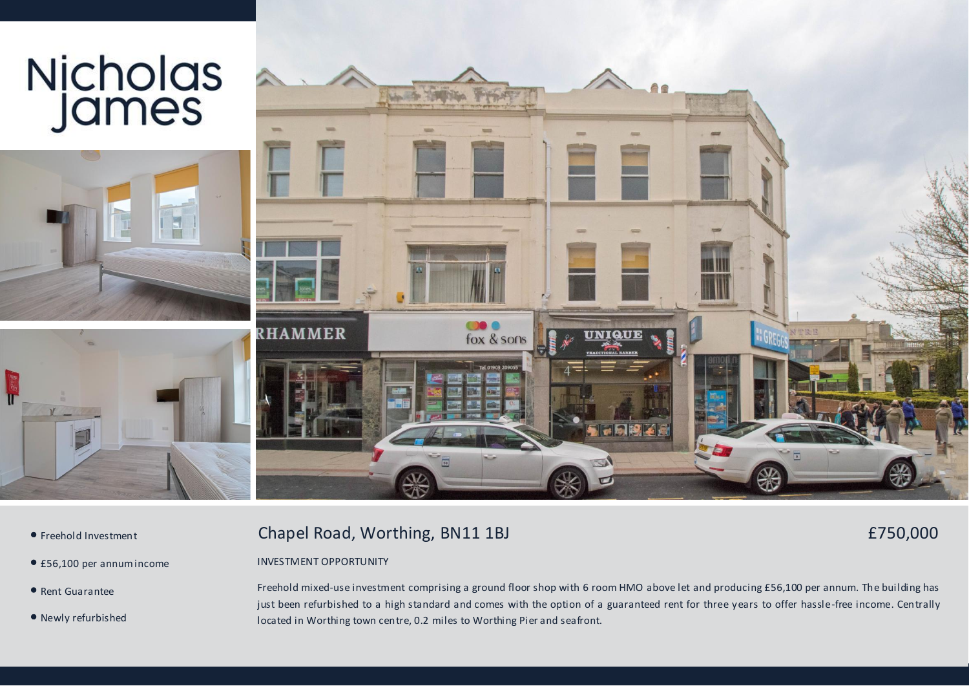# **Nicholas**<br>James



- *•* Freehold Investment
- *•* £56,100 per annum income
- *•* Rent Guarantee

'n

*•* Newly refurbished

### Chapel Road, Worthing, BN11 1BJ

£750,000

#### INVESTMENT OPPORTUNITY

Freehold mixed-use investment comprising a ground floor shop with 6 room HMO above let and producing £56,100 per annum. The building has just been refurbished to a high standard and comes with the option of a guaranteed rent for three years to offer hassle-free income. Centrally located in Worthing town centre, 0.2 miles to Worthing Pier and seafront.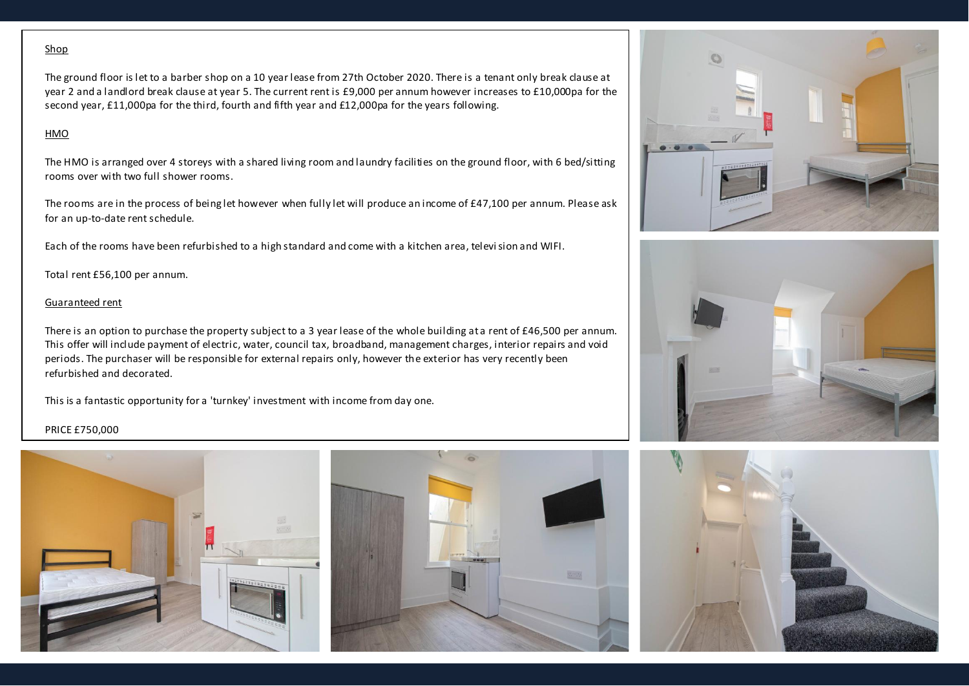#### Shop

The ground floor is let to a barber shop on a 10 year lease from 27th October 2020. There is a tenant only break clause at year 2 and a landlord break clause at year 5. The current rent is £9,000 per annum however increases to £10,000pa for the second year, £11,000pa for the third, fourth and fifth year and £12,000pa for the years following.

#### HMO

The HMO is arranged over 4 storeys with a shared living room and laundry facilities on the ground floor, with 6 bed/sitting rooms over with two full shower rooms.

The rooms are in the process of being let however when fully let will produce an income of £47,100 per annum. Please ask for an up-to-date rent schedule.

Each of the rooms have been refurbished to a high standard and come with a kitchen area, television and WIFI.

Total rent £56,100 per annum.

#### Guaranteed rent

There is an option to purchase the property subject to a 3 year lease of the whole building at a rent of £46,500 per annum. This offer will include payment of electric, water, council tax, broadband, management charges, interior repairs and void periods. The purchaser will be responsible for external repairs only, however the exterior has very recently been refurbished and decorated.

This is a fantastic opportunity for a 'turnkey' investment with income from day one.

#### PRICE £750,000









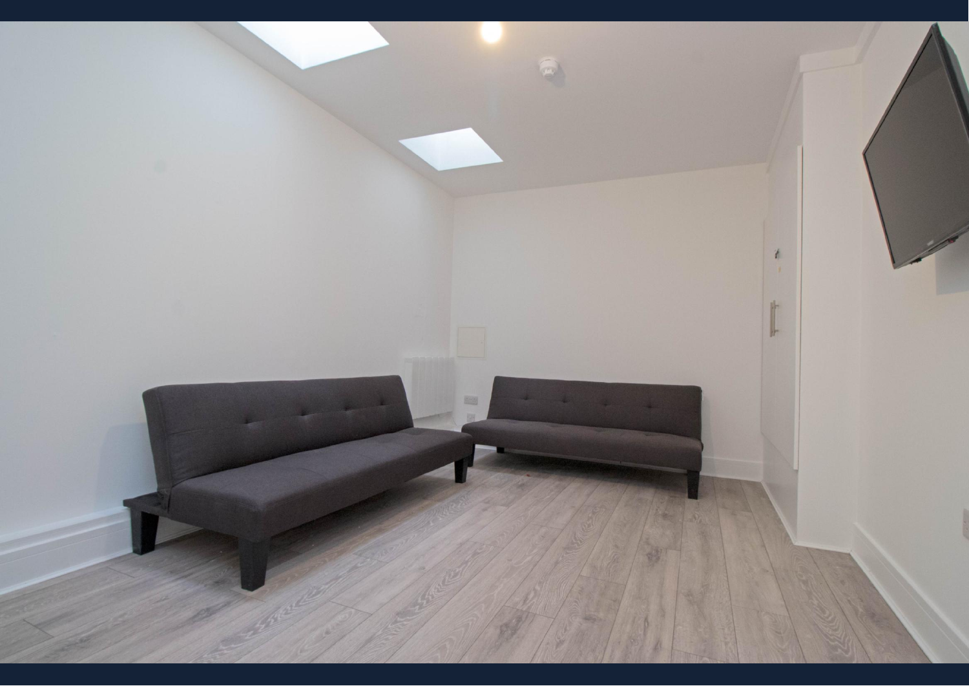